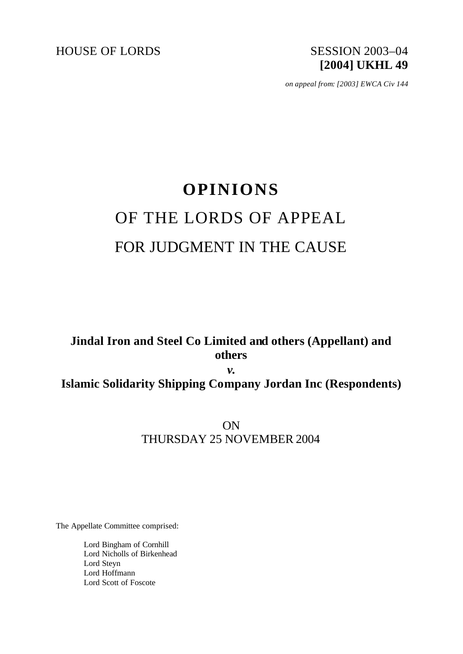

*on appeal from: [2003] EWCA Civ 144*

# **OPINIONS** OF THE LORDS OF APPEAL FOR JUDGMENT IN THE CAUSE

# **Jindal Iron and Steel Co Limited and others (Appellant) and others**

*v.* **Islamic Solidarity Shipping Company Jordan Inc (Respondents)**

> ON THURSDAY 25 NOVEMBER 2004

The Appellate Committee comprised:

Lord Bingham of Cornhill Lord Nicholls of Birkenhead Lord Steyn Lord Hoffmann Lord Scott of Foscote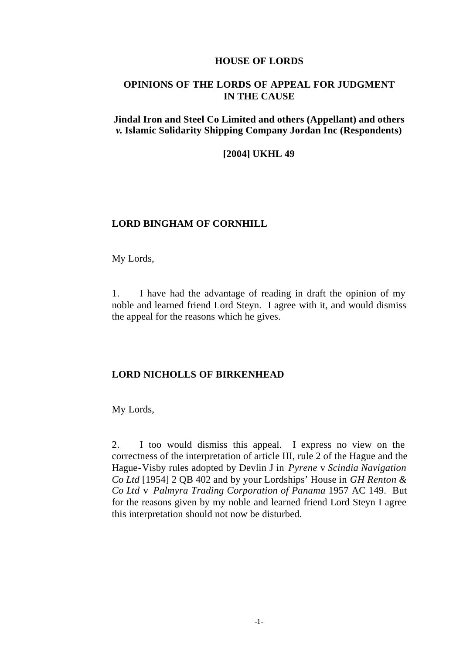#### **HOUSE OF LORDS**

# **OPINIONS OF THE LORDS OF APPEAL FOR JUDGMENT IN THE CAUSE**

# **Jindal Iron and Steel Co Limited and others (Appellant) and others**  *v.* **Islamic Solidarity Shipping Company Jordan Inc (Respondents)**

### **[2004] UKHL 49**

# **LORD BINGHAM OF CORNHILL**

My Lords,

1. I have had the advantage of reading in draft the opinion of my noble and learned friend Lord Steyn. I agree with it, and would dismiss the appeal for the reasons which he gives.

#### **LORD NICHOLLS OF BIRKENHEAD**

My Lords,

2. I too would dismiss this appeal. I express no view on the correctness of the interpretation of article III, rule 2 of the Hague and the Hague-Visby rules adopted by Devlin J in *Pyrene* v *Scindia Navigation Co Ltd* [1954] 2 QB 402 and by your Lordships' House in *GH Renton & Co Ltd* v *Palmyra Trading Corporation of Panama* 1957 AC 149. But for the reasons given by my noble and learned friend Lord Steyn I agree this interpretation should not now be disturbed.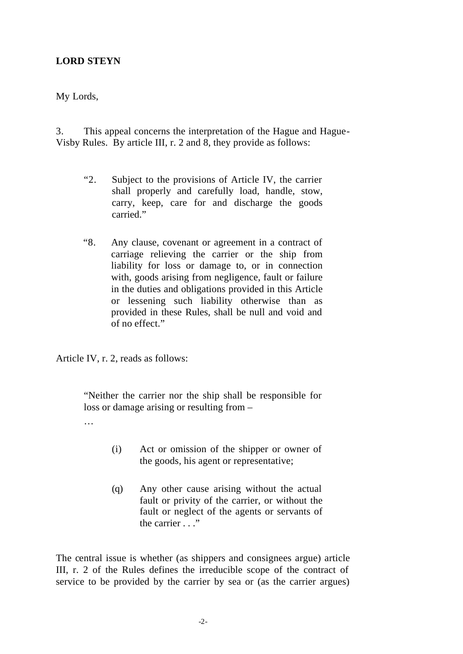# **LORD STEYN**

My Lords,

3. This appeal concerns the interpretation of the Hague and Hague-Visby Rules. By article III, r. 2 and 8, they provide as follows:

- "2. Subject to the provisions of Article IV, the carrier shall properly and carefully load, handle, stow, carry, keep, care for and discharge the goods carried."
- "8. Any clause, covenant or agreement in a contract of carriage relieving the carrier or the ship from liability for loss or damage to, or in connection with, goods arising from negligence, fault or failure in the duties and obligations provided in this Article or lessening such liability otherwise than as provided in these Rules, shall be null and void and of no effect."

Article IV, r. 2, reads as follows:

"Neither the carrier nor the ship shall be responsible for loss or damage arising or resulting from –

- …
- (i) Act or omission of the shipper or owner of the goods, his agent or representative;
- (q) Any other cause arising without the actual fault or privity of the carrier, or without the fault or neglect of the agents or servants of the carrier . . ."

The central issue is whether (as shippers and consignees argue) article III, r. 2 of the Rules defines the irreducible scope of the contract of service to be provided by the carrier by sea or (as the carrier argues)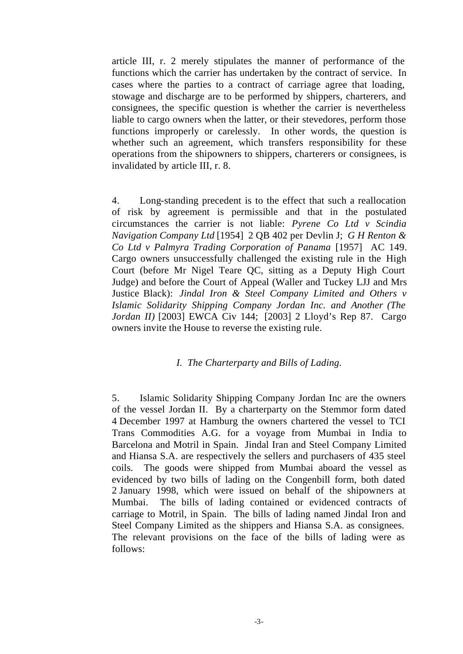article III, r. 2 merely stipulates the manner of performance of the functions which the carrier has undertaken by the contract of service. In cases where the parties to a contract of carriage agree that loading, stowage and discharge are to be performed by shippers, charterers, and consignees, the specific question is whether the carrier is nevertheless liable to cargo owners when the latter, or their stevedores, perform those functions improperly or carelessly. In other words, the question is whether such an agreement, which transfers responsibility for these operations from the shipowners to shippers, charterers or consignees, is invalidated by article III, r. 8.

4. Long-standing precedent is to the effect that such a reallocation of risk by agreement is permissible and that in the postulated circumstances the carrier is not liable: *Pyrene Co Ltd v Scindia Navigation Company Ltd* [1954] 2 QB 402 per Devlin J; *G H Renton & Co Ltd v Palmyra Trading Corporation of Panama* [1957] AC 149. Cargo owners unsuccessfully challenged the existing rule in the High Court (before Mr Nigel Teare QC, sitting as a Deputy High Court Judge) and before the Court of Appeal (Waller and Tuckey LJJ and Mrs Justice Black): *Jindal Iron & Steel Company Limited and Others v Islamic Solidarity Shipping Company Jordan Inc. and Another (The Jordan II)* [2003] EWCA Civ 144; [2003] 2 Lloyd's Rep 87. Cargo owners invite the House to reverse the existing rule.

# *I. The Charterparty and Bills of Lading.*

5. Islamic Solidarity Shipping Company Jordan Inc are the owners of the vessel Jordan II. By a charterparty on the Stemmor form dated 4 December 1997 at Hamburg the owners chartered the vessel to TCI Trans Commodities A.G. for a voyage from Mumbai in India to Barcelona and Motril in Spain. Jindal Iran and Steel Company Limited and Hiansa S.A. are respectively the sellers and purchasers of 435 steel coils. The goods were shipped from Mumbai aboard the vessel as evidenced by two bills of lading on the Congenbill form, both dated 2 January 1998, which were issued on behalf of the shipowners at Mumbai. The bills of lading contained or evidenced contracts of carriage to Motril, in Spain. The bills of lading named Jindal Iron and Steel Company Limited as the shippers and Hiansa S.A. as consignees. The relevant provisions on the face of the bills of lading were as follows: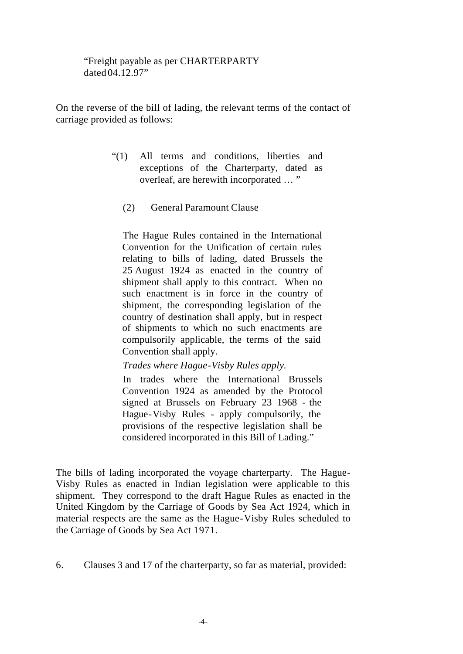"Freight payable as per CHARTERPARTY dated 04.12.97"

On the reverse of the bill of lading, the relevant terms of the contact of carriage provided as follows:

- "(1) All terms and conditions, liberties and exceptions of the Charterparty, dated as overleaf, are herewith incorporated … "
	- (2) General Paramount Clause

The Hague Rules contained in the International Convention for the Unification of certain rules relating to bills of lading, dated Brussels the 25 August 1924 as enacted in the country of shipment shall apply to this contract. When no such enactment is in force in the country of shipment, the corresponding legislation of the country of destination shall apply, but in respect of shipments to which no such enactments are compulsorily applicable, the terms of the said Convention shall apply.

*Trades where Hague-Visby Rules apply.*

In trades where the International Brussels Convention 1924 as amended by the Protocol signed at Brussels on February 23 1968 - the Hague-Visby Rules - apply compulsorily, the provisions of the respective legislation shall be considered incorporated in this Bill of Lading."

The bills of lading incorporated the voyage charterparty. The Hague-Visby Rules as enacted in Indian legislation were applicable to this shipment. They correspond to the draft Hague Rules as enacted in the United Kingdom by the Carriage of Goods by Sea Act 1924, which in material respects are the same as the Hague-Visby Rules scheduled to the Carriage of Goods by Sea Act 1971.

6. Clauses 3 and 17 of the charterparty, so far as material, provided: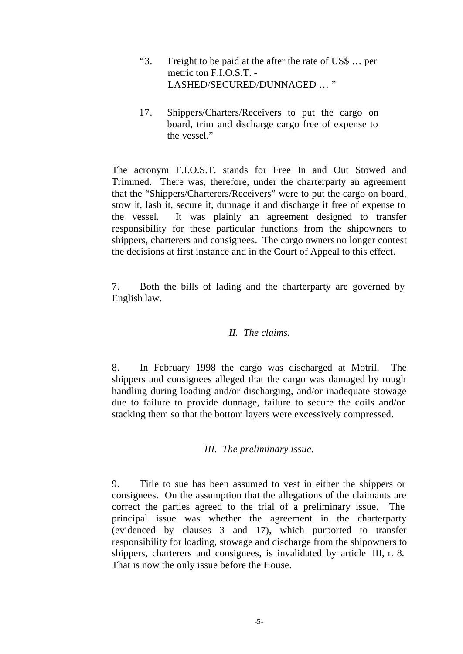- "3. Freight to be paid at the after the rate of US\$ … per metric ton F.I.O.S.T. - LASHED/SECURED/DUNNAGED … "
- 17. Shippers/Charters/Receivers to put the cargo on board, trim and discharge cargo free of expense to the vessel."

The acronym F.I.O.S.T. stands for Free In and Out Stowed and Trimmed. There was, therefore, under the charterparty an agreement that the "Shippers/Charterers/Receivers" were to put the cargo on board, stow it, lash it, secure it, dunnage it and discharge it free of expense to the vessel. It was plainly an agreement designed to transfer responsibility for these particular functions from the shipowners to shippers, charterers and consignees. The cargo owners no longer contest the decisions at first instance and in the Court of Appeal to this effect.

7. Both the bills of lading and the charterparty are governed by English law.

# *II. The claims.*

8. In February 1998 the cargo was discharged at Motril. The shippers and consignees alleged that the cargo was damaged by rough handling during loading and/or discharging, and/or inadequate stowage due to failure to provide dunnage, failure to secure the coils and/or stacking them so that the bottom layers were excessively compressed.

# *III. The preliminary issue.*

9. Title to sue has been assumed to vest in either the shippers or consignees. On the assumption that the allegations of the claimants are correct the parties agreed to the trial of a preliminary issue. The principal issue was whether the agreement in the charterparty (evidenced by clauses 3 and 17), which purported to transfer responsibility for loading, stowage and discharge from the shipowners to shippers, charterers and consignees, is invalidated by article III, r. 8. That is now the only issue before the House.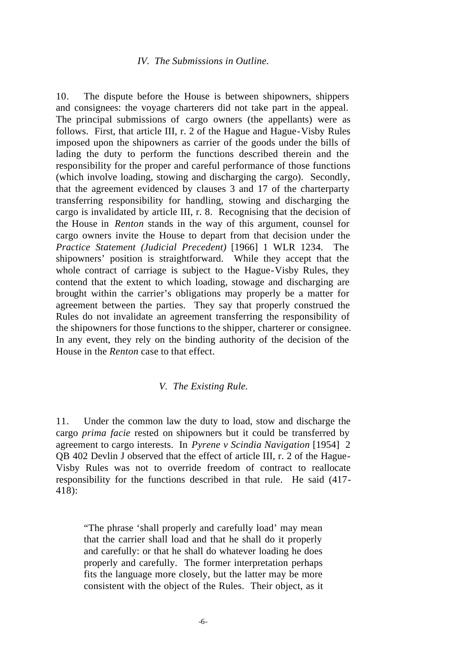#### *IV. The Submissions in Outline.*

10. The dispute before the House is between shipowners, shippers and consignees: the voyage charterers did not take part in the appeal. The principal submissions of cargo owners (the appellants) were as follows. First, that article III, r. 2 of the Hague and Hague-Visby Rules imposed upon the shipowners as carrier of the goods under the bills of lading the duty to perform the functions described therein and the responsibility for the proper and careful performance of those functions (which involve loading, stowing and discharging the cargo). Secondly, that the agreement evidenced by clauses 3 and 17 of the charterparty transferring responsibility for handling, stowing and discharging the cargo is invalidated by article III, r. 8. Recognising that the decision of the House in *Renton* stands in the way of this argument, counsel for cargo owners invite the House to depart from that decision under the *Practice Statement (Judicial Precedent)* [1966] 1 WLR 1234. The shipowners' position is straightforward. While they accept that the whole contract of carriage is subject to the Hague-Visby Rules, they contend that the extent to which loading, stowage and discharging are brought within the carrier's obligations may properly be a matter for agreement between the parties. They say that properly construed the Rules do not invalidate an agreement transferring the responsibility of the shipowners for those functions to the shipper, charterer or consignee. In any event, they rely on the binding authority of the decision of the House in the *Renton* case to that effect.

#### *V. The Existing Rule.*

11. Under the common law the duty to load, stow and discharge the cargo *prima facie* rested on shipowners but it could be transferred by agreement to cargo interests. In *Pyrene v Scindia Navigation* [1954] 2 QB 402 Devlin J observed that the effect of article III, r. 2 of the Hague-Visby Rules was not to override freedom of contract to reallocate responsibility for the functions described in that rule. He said (417- 418):

"The phrase 'shall properly and carefully load' may mean that the carrier shall load and that he shall do it properly and carefully: or that he shall do whatever loading he does properly and carefully. The former interpretation perhaps fits the language more closely, but the latter may be more consistent with the object of the Rules. Their object, as it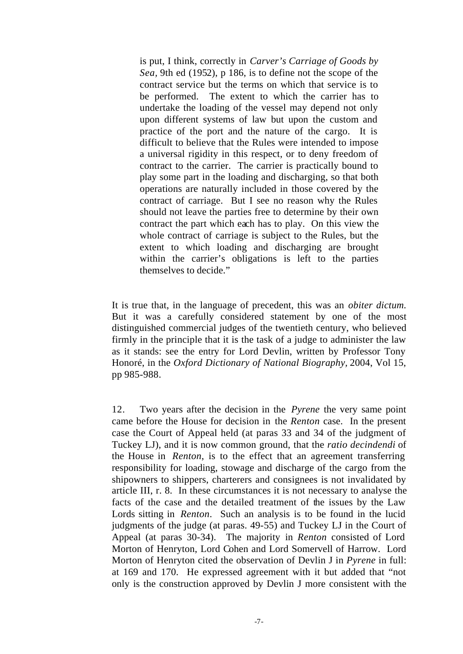is put, I think, correctly in *Carver's Carriage of Goods by Sea,* 9th ed (1952), p 186, is to define not the scope of the contract service but the terms on which that service is to be performed. The extent to which the carrier has to undertake the loading of the vessel may depend not only upon different systems of law but upon the custom and practice of the port and the nature of the cargo. It is difficult to believe that the Rules were intended to impose a universal rigidity in this respect, or to deny freedom of contract to the carrier. The carrier is practically bound to play some part in the loading and discharging, so that both operations are naturally included in those covered by the contract of carriage. But I see no reason why the Rules should not leave the parties free to determine by their own contract the part which each has to play. On this view the whole contract of carriage is subject to the Rules, but the extent to which loading and discharging are brought within the carrier's obligations is left to the parties themselves to decide."

It is true that, in the language of precedent, this was an *obiter dictum.* But it was a carefully considered statement by one of the most distinguished commercial judges of the twentieth century, who believed firmly in the principle that it is the task of a judge to administer the law as it stands: see the entry for Lord Devlin, written by Professor Tony Honoré, in the *Oxford Dictionary of National Biography,* 2004, Vol 15, pp 985-988.

12. Two years after the decision in the *Pyrene* the very same point came before the House for decision in the *Renton* case. In the present case the Court of Appeal held (at paras 33 and 34 of the judgment of Tuckey LJ), and it is now common ground, that the *ratio decindendi* of the House in *Renton*, is to the effect that an agreement transferring responsibility for loading, stowage and discharge of the cargo from the shipowners to shippers, charterers and consignees is not invalidated by article III, r. 8. In these circumstances it is not necessary to analyse the facts of the case and the detailed treatment of the issues by the Law Lords sitting in *Renton*. Such an analysis is to be found in the lucid judgments of the judge (at paras. 49-55) and Tuckey LJ in the Court of Appeal (at paras 30-34). The majority in *Renton* consisted of Lord Morton of Henryton, Lord Cohen and Lord Somervell of Harrow. Lord Morton of Henryton cited the observation of Devlin J in *Pyrene* in full: at 169 and 170. He expressed agreement with it but added that "not only is the construction approved by Devlin J more consistent with the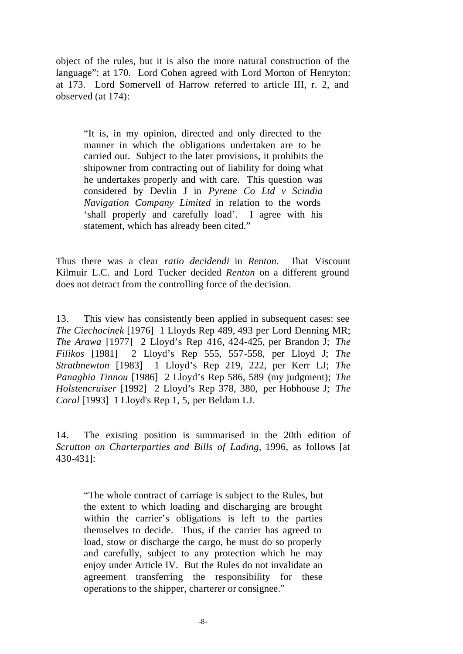object of the rules, but it is also the more natural construction of the language": at 170. Lord Cohen agreed with Lord Morton of Henryton: at 173. Lord Somervell of Harrow referred to article III, r. 2, and observed (at 174):

"It is, in my opinion, directed and only directed to the manner in which the obligations undertaken are to be carried out. Subject to the later provisions, it prohibits the shipowner from contracting out of liability for doing what he undertakes properly and with care. This question was considered by Devlin J in *Pyrene Co Ltd v Scindia Navigation Company Limited* in relation to the words 'shall properly and carefully load'. I agree with his statement, which has already been cited."

Thus there was a clear *ratio decidendi* in *Renton.* That Viscount Kilmuir L.C. and Lord Tucker decided *Renton* on a different ground does not detract from the controlling force of the decision.

13. This view has consistently been applied in subsequent cases: see *The Ciechocinek* [1976] 1 Lloyds Rep 489, 493 per Lord Denning MR; *The Arawa* [1977] 2 Lloyd's Rep 416, 424-425, per Brandon J; *The Filikos* [1981] 2 Lloyd's Rep 555, 557-558, per Lloyd J; *The Strathnewton* [1983] 1 Lloyd's Rep 219, 222, per Kerr LJ; *The Panaghia Tinnou* [1986] 2 Lloyd's Rep 586, 589 (my judgment); *The Holstencruiser* [1992] 2 Lloyd's Rep 378, 380, per Hobhouse J; *The Coral* [1993] 1 Lloyd's Rep 1, 5, per Beldam LJ.

14. The existing position is summarised in the 20th edition of *Scrutton on Charterparties and Bills of Lading,* 1996, as follows [at 430-431]:

"The whole contract of carriage is subject to the Rules, but the extent to which loading and discharging are brought within the carrier's obligations is left to the parties themselves to decide. Thus, if the carrier has agreed to load, stow or discharge the cargo, he must do so properly and carefully, subject to any protection which he may enjoy under Article IV. But the Rules do not invalidate an agreement transferring the responsibility for these operations to the shipper, charterer or consignee."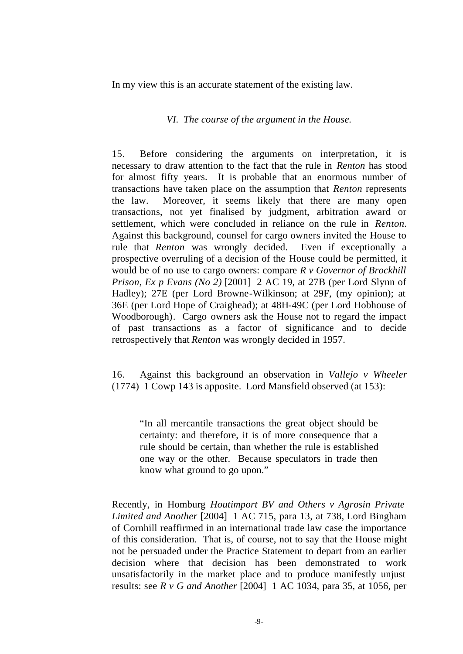In my view this is an accurate statement of the existing law.

#### *VI. The course of the argument in the House.*

15. Before considering the arguments on interpretation, it is necessary to draw attention to the fact that the rule in *Renton* has stood for almost fifty years. It is probable that an enormous number of transactions have taken place on the assumption that *Renton* represents the law. Moreover, it seems likely that there are many open transactions, not yet finalised by judgment, arbitration award or settlement, which were concluded in reliance on the rule in *Renton.* Against this background, counsel for cargo owners invited the House to rule that *Renton* was wrongly decided. Even if exceptionally a prospective overruling of a decision of the House could be permitted, it would be of no use to cargo owners: compare *R v Governor of Brockhill Prison, Ex p Evans (No 2)* [2001] 2 AC 19, at 27B (per Lord Slynn of Hadley); 27E (per Lord Browne-Wilkinson; at 29F, (my opinion); at 36E (per Lord Hope of Craighead); at 48H-49C (per Lord Hobhouse of Woodborough). Cargo owners ask the House not to regard the impact of past transactions as a factor of significance and to decide retrospectively that *Renton* was wrongly decided in 1957.

16. Against this background an observation in *Vallejo v Wheeler* (1774) 1 Cowp 143 is apposite. Lord Mansfield observed (at 153):

"In all mercantile transactions the great object should be certainty: and therefore, it is of more consequence that a rule should be certain, than whether the rule is established one way or the other. Because speculators in trade then know what ground to go upon."

Recently, in Homburg *Houtimport BV and Others v Agrosin Private Limited and Another* [2004] 1 AC 715, para 13, at 738, Lord Bingham of Cornhill reaffirmed in an international trade law case the importance of this consideration. That is, of course, not to say that the House might not be persuaded under the Practice Statement to depart from an earlier decision where that decision has been demonstrated to work unsatisfactorily in the market place and to produce manifestly unjust results: see *R v G and Another* [2004] 1 AC 1034, para 35, at 1056, per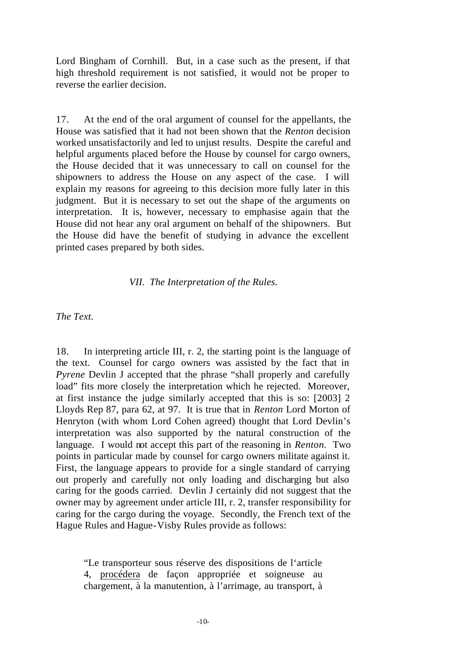Lord Bingham of Cornhill. But, in a case such as the present, if that high threshold requirement is not satisfied, it would not be proper to reverse the earlier decision.

17. At the end of the oral argument of counsel for the appellants, the House was satisfied that it had not been shown that the *Renton* decision worked unsatisfactorily and led to unjust results. Despite the careful and helpful arguments placed before the House by counsel for cargo owners, the House decided that it was unnecessary to call on counsel for the shipowners to address the House on any aspect of the case. I will explain my reasons for agreeing to this decision more fully later in this judgment. But it is necessary to set out the shape of the arguments on interpretation. It is, however, necessary to emphasise again that the House did not hear any oral argument on behalf of the shipowners. But the House did have the benefit of studying in advance the excellent printed cases prepared by both sides.

#### *VII. The Interpretation of the Rules.*

*The Text.*

18. In interpreting article III, r. 2, the starting point is the language of the text. Counsel for cargo owners was assisted by the fact that in *Pyrene* Devlin J accepted that the phrase "shall properly and carefully load" fits more closely the interpretation which he rejected. Moreover, at first instance the judge similarly accepted that this is so: [2003] 2 Lloyds Rep 87, para 62, at 97. It is true that in *Renton* Lord Morton of Henryton (with whom Lord Cohen agreed) thought that Lord Devlin's interpretation was also supported by the natural construction of the language. I would not accept this part of the reasoning in *Renton.* Two points in particular made by counsel for cargo owners militate against it. First, the language appears to provide for a single standard of carrying out properly and carefully not only loading and discharging but also caring for the goods carried. Devlin J certainly did not suggest that the owner may by agreement under article III, r. 2, transfer responsibility for caring for the cargo during the voyage. Secondly, the French text of the Hague Rules and Hague-Visby Rules provide as follows:

"Le transporteur sous réserve des dispositions de l'article 4, procédera de façon appropriée et soigneuse au chargement, à la manutention, à l'arrimage, au transport, à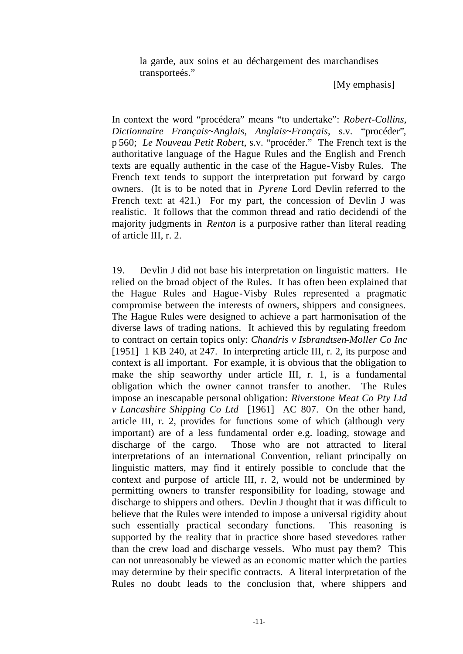la garde, aux soins et au déchargement des marchandises transporteés."

[My emphasis]

In context the word "procédera" means "to undertake": *Robert-Collins, Dictionnaire Français~Anglais, Anglais~Français*, s.v. "procéder"*,*  p 560; *Le Nouveau Petit Robert*, s.v. "procéder." The French text is the authoritative language of the Hague Rules and the English and French texts are equally authentic in the case of the Hague-Visby Rules. The French text tends to support the interpretation put forward by cargo owners. (It is to be noted that in *Pyrene* Lord Devlin referred to the French text: at 421.) For my part, the concession of Devlin J was realistic. It follows that the common thread and ratio decidendi of the majority judgments in *Renton* is a purposive rather than literal reading of article III, r. 2.

19. Devlin J did not base his interpretation on linguistic matters. He relied on the broad object of the Rules. It has often been explained that the Hague Rules and Hague-Visby Rules represented a pragmatic compromise between the interests of owners, shippers and consignees. The Hague Rules were designed to achieve a part harmonisation of the diverse laws of trading nations. It achieved this by regulating freedom to contract on certain topics only: *Chandris v Isbrandtsen-Moller Co Inc* [1951] 1 KB 240, at 247. In interpreting article III, r. 2, its purpose and context is all important. For example, it is obvious that the obligation to make the ship seaworthy under article III, r. 1, is a fundamental obligation which the owner cannot transfer to another. The Rules impose an inescapable personal obligation: *Riverstone Meat Co Pty Ltd v Lancashire Shipping Co Ltd* [1961] AC 807. On the other hand, article III, r. 2, provides for functions some of which (although very important) are of a less fundamental order e.g. loading, stowage and discharge of the cargo. Those who are not attracted to literal interpretations of an international Convention, reliant principally on linguistic matters, may find it entirely possible to conclude that the context and purpose of article III, r. 2, would not be undermined by permitting owners to transfer responsibility for loading, stowage and discharge to shippers and others. Devlin J thought that it was difficult to believe that the Rules were intended to impose a universal rigidity about such essentially practical secondary functions. This reasoning is supported by the reality that in practice shore based stevedores rather than the crew load and discharge vessels. Who must pay them? This can not unreasonably be viewed as an economic matter which the parties may determine by their specific contracts. A literal interpretation of the Rules no doubt leads to the conclusion that, where shippers and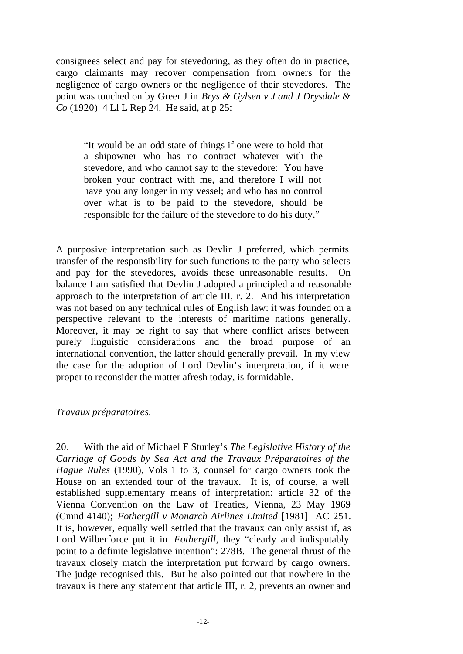consignees select and pay for stevedoring, as they often do in practice, cargo claimants may recover compensation from owners for the negligence of cargo owners or the negligence of their stevedores. The point was touched on by Greer J in *Brys & Gylsen v J and J Drysdale & Co* (1920) 4 Ll L Rep 24. He said, at p 25:

"It would be an odd state of things if one were to hold that a shipowner who has no contract whatever with the stevedore, and who cannot say to the stevedore: You have broken your contract with me, and therefore I will not have you any longer in my vessel; and who has no control over what is to be paid to the stevedore, should be responsible for the failure of the stevedore to do his duty."

A purposive interpretation such as Devlin J preferred, which permits transfer of the responsibility for such functions to the party who selects and pay for the stevedores, avoids these unreasonable results. On balance I am satisfied that Devlin J adopted a principled and reasonable approach to the interpretation of article III, r. 2. And his interpretation was not based on any technical rules of English law: it was founded on a perspective relevant to the interests of maritime nations generally. Moreover, it may be right to say that where conflict arises between purely linguistic considerations and the broad purpose of an international convention, the latter should generally prevail. In my view the case for the adoption of Lord Devlin's interpretation, if it were proper to reconsider the matter afresh today, is formidable.

# *Travaux préparatoires.*

20. With the aid of Michael F Sturley's *The Legislative History of the Carriage of Goods by Sea Act and the Travaux Préparatoires of the Hague Rules* (1990), Vols 1 to 3, counsel for cargo owners took the House on an extended tour of the travaux. It is, of course, a well established supplementary means of interpretation: article 32 of the Vienna Convention on the Law of Treaties, Vienna, 23 May 1969 (Cmnd 4140); *Fothergill v Monarch Airlines Limited* [1981] AC 251. It is, however, equally well settled that the travaux can only assist if, as Lord Wilberforce put it in *Fothergill*, they "clearly and indisputably point to a definite legislative intention": 278B. The general thrust of the travaux closely match the interpretation put forward by cargo owners. The judge recognised this. But he also pointed out that nowhere in the travaux is there any statement that article III, r. 2, prevents an owner and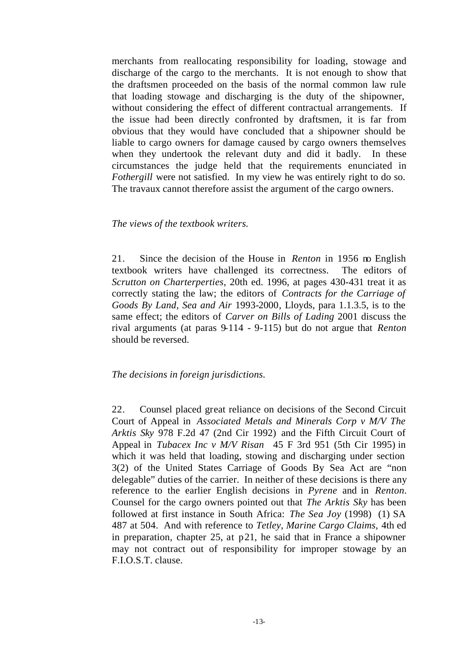merchants from reallocating responsibility for loading, stowage and discharge of the cargo to the merchants. It is not enough to show that the draftsmen proceeded on the basis of the normal common law rule that loading stowage and discharging is the duty of the shipowner, without considering the effect of different contractual arrangements. If the issue had been directly confronted by draftsmen, it is far from obvious that they would have concluded that a shipowner should be liable to cargo owners for damage caused by cargo owners themselves when they undertook the relevant duty and did it badly. In these circumstances the judge held that the requirements enunciated in *Fothergill* were not satisfied. In my view he was entirely right to do so. The travaux cannot therefore assist the argument of the cargo owners.

#### *The views of the textbook writers.*

21. Since the decision of the House in *Renton* in 1956 no English textbook writers have challenged its correctness. The editors of *Scrutton on Charterperties*, 20th ed. 1996, at pages 430-431 treat it as correctly stating the law; the editors of *Contracts for the Carriage of Goods By Land, Sea and Air* 1993-2000, Lloyds, para 1.1.3.5, is to the same effect; the editors of *Carver on Bills of Lading* 2001 discuss the rival arguments (at paras 9-114 - 9-115) but do not argue that *Renton* should be reversed.

# *The decisions in foreign jurisdictions.*

22. Counsel placed great reliance on decisions of the Second Circuit Court of Appeal in *Associated Metals and Minerals Corp v M/V The Arktis Sky* 978 F.2d 47 (2nd Cir 1992) and the Fifth Circuit Court of Appeal in *Tubacex Inc v M/V Risan* 45 F 3rd 951 (5th Cir 1995) in which it was held that loading, stowing and discharging under section 3(2) of the United States Carriage of Goods By Sea Act are "non delegable" duties of the carrier. In neither of these decisions is there any reference to the earlier English decisions in *Pyrene* and in *Renton.* Counsel for the cargo owners pointed out that *The Arktis Sky* has been followed at first instance in South Africa: *The Sea Joy* (1998) (1) SA 487 at 504. And with reference to *Tetley, Marine Cargo Claims,* 4th ed in preparation, chapter 25, at p21, he said that in France a shipowner may not contract out of responsibility for improper stowage by an F.I.O.S.T. clause.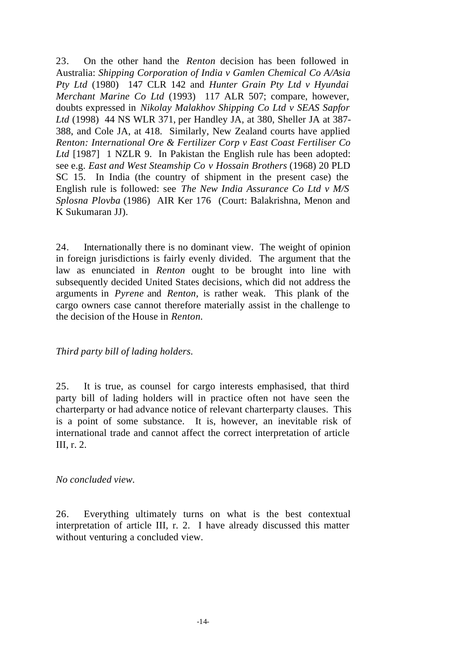23. On the other hand the *Renton* decision has been followed in Australia: *Shipping Corporation of India v Gamlen Chemical Co A/Asia Pty Ltd* (1980) 147 CLR 142 and *Hunter Grain Pty Ltd v Hyundai Merchant Marine Co Ltd* (1993) 117 ALR 507; compare, however, doubts expressed in *Nikolay Malakhov Shipping Co Ltd v SEAS Sapfor Ltd* (1998) 44 NS WLR 371, per Handley JA, at 380, Sheller JA at 387- 388, and Cole JA, at 418. Similarly, New Zealand courts have applied *Renton: International Ore & Fertilizer Corp v East Coast Fertiliser Co Ltd* [1987] 1 NZLR 9. In Pakistan the English rule has been adopted: see e.g. *East and West Steamship Co v Hossain Brothers* (1968) 20 PLD SC 15. In India (the country of shipment in the present case) the English rule is followed: see *The New India Assurance Co Ltd v M/S Splosna Plovba* (1986) AIR Ker 176 (Court: Balakrishna, Menon and K Sukumaran JJ).

24. Internationally there is no dominant view. The weight of opinion in foreign jurisdictions is fairly evenly divided. The argument that the law as enunciated in *Renton* ought to be brought into line with subsequently decided United States decisions, which did not address the arguments in *Pyrene* and *Renton,* is rather weak. This plank of the cargo owners case cannot therefore materially assist in the challenge to the decision of the House in *Renton.*

# *Third party bill of lading holders.*

25. It is true, as counsel for cargo interests emphasised, that third party bill of lading holders will in practice often not have seen the charterparty or had advance notice of relevant charterparty clauses. This is a point of some substance. It is, however, an inevitable risk of international trade and cannot affect the correct interpretation of article III, r. 2.

# *No concluded view.*

26. Everything ultimately turns on what is the best contextual interpretation of article III, r. 2. I have already discussed this matter without venturing a concluded view.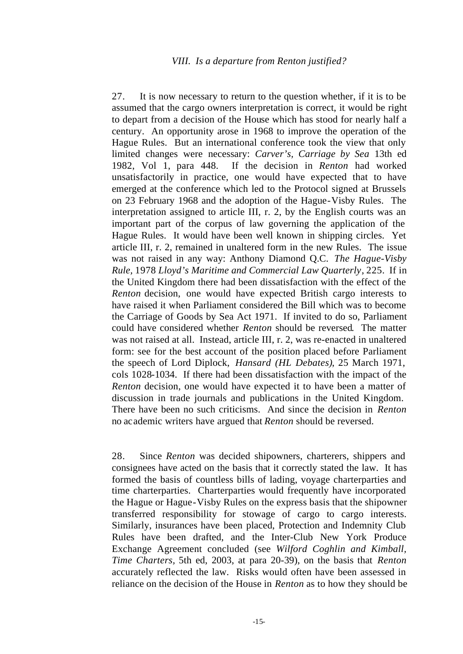27. It is now necessary to return to the question whether, if it is to be assumed that the cargo owners interpretation is correct, it would be right to depart from a decision of the House which has stood for nearly half a century. An opportunity arose in 1968 to improve the operation of the Hague Rules. But an international conference took the view that only limited changes were necessary: *Carver's, Carriage by Sea* 13th ed 1982, Vol 1, para 448. If the decision in *Renton* had worked unsatisfactorily in practice, one would have expected that to have emerged at the conference which led to the Protocol signed at Brussels on 23 February 1968 and the adoption of the Hague-Visby Rules. The interpretation assigned to article III, r. 2, by the English courts was an important part of the corpus of law governing the application of the Hague Rules. It would have been well known in shipping circles. Yet article III, r. 2, remained in unaltered form in the new Rules. The issue was not raised in any way: Anthony Diamond Q.C. *The Hague-Visby Rule,* 1978 *Lloyd's Maritime and Commercial Law Quarterly*, 225. If in the United Kingdom there had been dissatisfaction with the effect of the *Renton* decision, one would have expected British cargo interests to have raised it when Parliament considered the Bill which was to become the Carriage of Goods by Sea Act 1971. If invited to do so, Parliament could have considered whether *Renton* should be reversed*.* The matter was not raised at all. Instead, article III, r. 2, was re-enacted in unaltered form: see for the best account of the position placed before Parliament the speech of Lord Diplock, *Hansard (HL Debates)*, 25 March 1971, cols 1028-1034. If there had been dissatisfaction with the impact of the *Renton* decision, one would have expected it to have been a matter of discussion in trade journals and publications in the United Kingdom. There have been no such criticisms. And since the decision in *Renton* no academic writers have argued that *Renton* should be reversed.

28. Since *Renton* was decided shipowners, charterers, shippers and consignees have acted on the basis that it correctly stated the law. It has formed the basis of countless bills of lading, voyage charterparties and time charterparties. Charterparties would frequently have incorporated the Hague or Hague-Visby Rules on the express basis that the shipowner transferred responsibility for stowage of cargo to cargo interests. Similarly, insurances have been placed, Protection and Indemnity Club Rules have been drafted, and the Inter-Club New York Produce Exchange Agreement concluded (see *Wilford Coghlin and Kimball, Time Charters,* 5th ed, 2003, at para 20-39), on the basis that *Renton* accurately reflected the law. Risks would often have been assessed in reliance on the decision of the House in *Renton* as to how they should be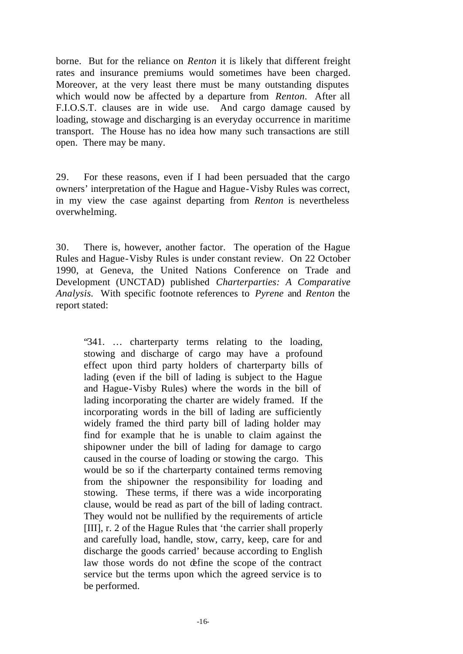borne. But for the reliance on *Renton* it is likely that different freight rates and insurance premiums would sometimes have been charged. Moreover, at the very least there must be many outstanding disputes which would now be affected by a departure from *Renton.* After all F.I.O.S.T. clauses are in wide use. And cargo damage caused by loading, stowage and discharging is an everyday occurrence in maritime transport. The House has no idea how many such transactions are still open. There may be many.

29. For these reasons, even if I had been persuaded that the cargo owners' interpretation of the Hague and Hague-Visby Rules was correct, in my view the case against departing from *Renton* is nevertheless overwhelming.

30. There is, however, another factor. The operation of the Hague Rules and Hague-Visby Rules is under constant review. On 22 October 1990, at Geneva, the United Nations Conference on Trade and Development (UNCTAD) published *Charterparties: A Comparative Analysis.* With specific footnote references to *Pyrene* and *Renton* the report stated:

"341. … charterparty terms relating to the loading, stowing and discharge of cargo may have a profound effect upon third party holders of charterparty bills of lading (even if the bill of lading is subject to the Hague and Hague-Visby Rules) where the words in the bill of lading incorporating the charter are widely framed. If the incorporating words in the bill of lading are sufficiently widely framed the third party bill of lading holder may find for example that he is unable to claim against the shipowner under the bill of lading for damage to cargo caused in the course of loading or stowing the cargo. This would be so if the charterparty contained terms removing from the shipowner the responsibility for loading and stowing. These terms, if there was a wide incorporating clause, would be read as part of the bill of lading contract. They would not be nullified by the requirements of article [III], r. 2 of the Hague Rules that 'the carrier shall properly and carefully load, handle, stow, carry, keep, care for and discharge the goods carried' because according to English law those words do not define the scope of the contract service but the terms upon which the agreed service is to be performed.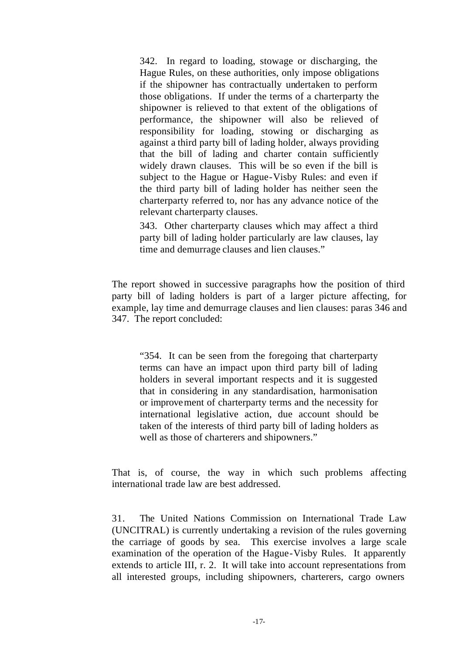342. In regard to loading, stowage or discharging, the Hague Rules, on these authorities, only impose obligations if the shipowner has contractually undertaken to perform those obligations. If under the terms of a charterparty the shipowner is relieved to that extent of the obligations of performance, the shipowner will also be relieved of responsibility for loading, stowing or discharging as against a third party bill of lading holder, always providing that the bill of lading and charter contain sufficiently widely drawn clauses. This will be so even if the bill is subject to the Hague or Hague-Visby Rules: and even if the third party bill of lading holder has neither seen the charterparty referred to, nor has any advance notice of the relevant charterparty clauses.

343. Other charterparty clauses which may affect a third party bill of lading holder particularly are law clauses, lay time and demurrage clauses and lien clauses."

The report showed in successive paragraphs how the position of third party bill of lading holders is part of a larger picture affecting, for example, lay time and demurrage clauses and lien clauses: paras 346 and 347. The report concluded:

"354. It can be seen from the foregoing that charterparty terms can have an impact upon third party bill of lading holders in several important respects and it is suggested that in considering in any standardisation, harmonisation or improvement of charterparty terms and the necessity for international legislative action, due account should be taken of the interests of third party bill of lading holders as well as those of charterers and shipowners."

That is, of course, the way in which such problems affecting international trade law are best addressed.

31. The United Nations Commission on International Trade Law (UNCITRAL) is currently undertaking a revision of the rules governing the carriage of goods by sea. This exercise involves a large scale examination of the operation of the Hague-Visby Rules. It apparently extends to article III, r. 2. It will take into account representations from all interested groups, including shipowners, charterers, cargo owners